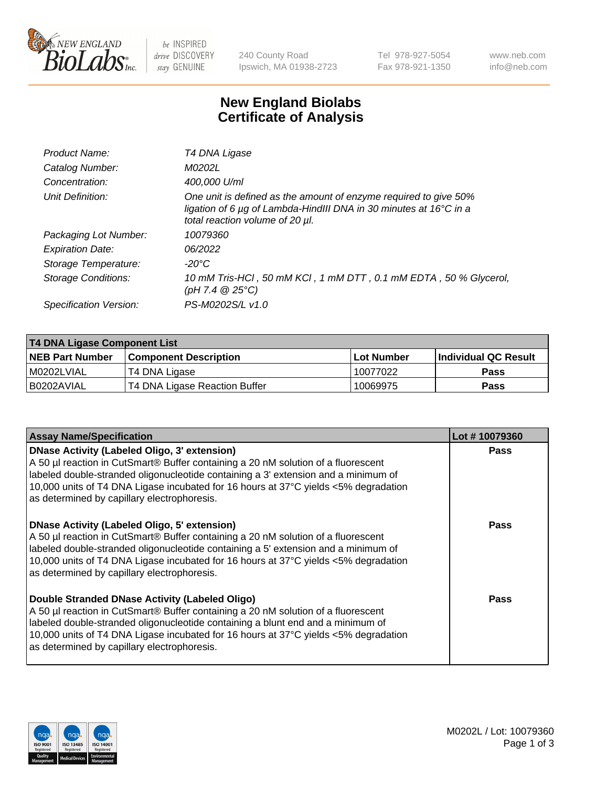

be INSPIRED drive DISCOVERY stay GENUINE

240 County Road Ipswich, MA 01938-2723 Tel 978-927-5054 Fax 978-921-1350 www.neb.com info@neb.com

## **New England Biolabs Certificate of Analysis**

| Product Name:              | T4 DNA Ligase                                                                                                                                                            |
|----------------------------|--------------------------------------------------------------------------------------------------------------------------------------------------------------------------|
| Catalog Number:            | M0202L                                                                                                                                                                   |
| Concentration:             | 400,000 U/ml                                                                                                                                                             |
| Unit Definition:           | One unit is defined as the amount of enzyme required to give 50%<br>ligation of 6 µg of Lambda-HindIII DNA in 30 minutes at 16°C in a<br>total reaction volume of 20 µl. |
| Packaging Lot Number:      | 10079360                                                                                                                                                                 |
| <b>Expiration Date:</b>    | 06/2022                                                                                                                                                                  |
| Storage Temperature:       | -20°C                                                                                                                                                                    |
| <b>Storage Conditions:</b> | 10 mM Tris-HCl, 50 mM KCl, 1 mM DTT, 0.1 mM EDTA, 50 % Glycerol,<br>(pH 7.4 $@25°C$ )                                                                                    |
| Specification Version:     | PS-M0202S/L v1.0                                                                                                                                                         |
|                            |                                                                                                                                                                          |

| T4 DNA Ligase Component List |                               |              |                             |  |
|------------------------------|-------------------------------|--------------|-----------------------------|--|
| <b>NEB Part Number</b>       | <b>Component Description</b>  | l Lot Number | <b>Individual QC Result</b> |  |
| M0202LVIAL                   | T4 DNA Ligase                 | 10077022     | <b>Pass</b>                 |  |
| I B0202AVIAL                 | T4 DNA Ligase Reaction Buffer | 10069975     | <b>Pass</b>                 |  |

| <b>Assay Name/Specification</b>                                                                                                                                                                                                                                                                                                                               | Lot #10079360 |
|---------------------------------------------------------------------------------------------------------------------------------------------------------------------------------------------------------------------------------------------------------------------------------------------------------------------------------------------------------------|---------------|
| DNase Activity (Labeled Oligo, 3' extension)<br>A 50 µl reaction in CutSmart® Buffer containing a 20 nM solution of a fluorescent<br>labeled double-stranded oligonucleotide containing a 3' extension and a minimum of<br>10,000 units of T4 DNA Ligase incubated for 16 hours at 37°C yields <5% degradation<br>as determined by capillary electrophoresis. | <b>Pass</b>   |
| DNase Activity (Labeled Oligo, 5' extension)<br>A 50 µl reaction in CutSmart® Buffer containing a 20 nM solution of a fluorescent<br>labeled double-stranded oligonucleotide containing a 5' extension and a minimum of<br>10,000 units of T4 DNA Ligase incubated for 16 hours at 37°C yields <5% degradation<br>as determined by capillary electrophoresis. | <b>Pass</b>   |
| Double Stranded DNase Activity (Labeled Oligo)<br>A 50 µl reaction in CutSmart® Buffer containing a 20 nM solution of a fluorescent<br>abeled double-stranded oligonucleotide containing a blunt end and a minimum of<br>10,000 units of T4 DNA Ligase incubated for 16 hours at 37°C yields <5% degradation<br>as determined by capillary electrophoresis.   | Pass          |

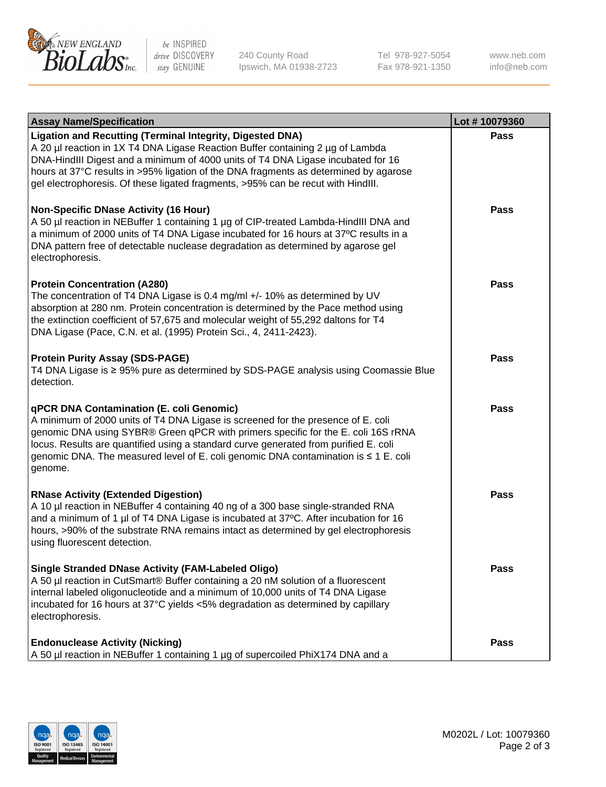

be INSPIRED drive DISCOVERY stay GENUINE

240 County Road Ipswich, MA 01938-2723 Tel 978-927-5054 Fax 978-921-1350

www.neb.com info@neb.com

| <b>Assay Name/Specification</b>                                                                                                                                                                                                                                                                                                                                                                                         | Lot #10079360 |
|-------------------------------------------------------------------------------------------------------------------------------------------------------------------------------------------------------------------------------------------------------------------------------------------------------------------------------------------------------------------------------------------------------------------------|---------------|
| Ligation and Recutting (Terminal Integrity, Digested DNA)<br>A 20 µl reaction in 1X T4 DNA Ligase Reaction Buffer containing 2 µg of Lambda<br>DNA-HindIII Digest and a minimum of 4000 units of T4 DNA Ligase incubated for 16<br>hours at 37°C results in >95% ligation of the DNA fragments as determined by agarose<br>gel electrophoresis. Of these ligated fragments, >95% can be recut with HindIII.             | Pass          |
| Non-Specific DNase Activity (16 Hour)<br>A 50 µl reaction in NEBuffer 1 containing 1 µg of CIP-treated Lambda-HindIII DNA and<br>a minimum of 2000 units of T4 DNA Ligase incubated for 16 hours at 37°C results in a<br>DNA pattern free of detectable nuclease degradation as determined by agarose gel<br>electrophoresis.                                                                                           | <b>Pass</b>   |
| <b>Protein Concentration (A280)</b><br>The concentration of T4 DNA Ligase is 0.4 mg/ml +/- 10% as determined by UV<br>absorption at 280 nm. Protein concentration is determined by the Pace method using<br>the extinction coefficient of 57,675 and molecular weight of 55,292 daltons for T4<br>DNA Ligase (Pace, C.N. et al. (1995) Protein Sci., 4, 2411-2423).                                                     | <b>Pass</b>   |
| <b>Protein Purity Assay (SDS-PAGE)</b><br>T4 DNA Ligase is ≥ 95% pure as determined by SDS-PAGE analysis using Coomassie Blue<br>detection.                                                                                                                                                                                                                                                                             | Pass          |
| <b>qPCR DNA Contamination (E. coli Genomic)</b><br>A minimum of 2000 units of T4 DNA Ligase is screened for the presence of E. coli<br>genomic DNA using SYBR® Green qPCR with primers specific for the E. coli 16S rRNA<br>locus. Results are quantified using a standard curve generated from purified E. coli<br>genomic DNA. The measured level of E. coli genomic DNA contamination is $\leq 1$ E. coli<br>genome. | Pass          |
| <b>RNase Activity (Extended Digestion)</b><br>A 10 µl reaction in NEBuffer 4 containing 40 ng of a 300 base single-stranded RNA<br>and a minimum of 1 µl of T4 DNA Ligase is incubated at 37°C. After incubation for 16<br>hours, >90% of the substrate RNA remains intact as determined by gel electrophoresis<br>using fluorescent detection.                                                                         | Pass          |
| <b>Single Stranded DNase Activity (FAM-Labeled Oligo)</b><br>A 50 µl reaction in CutSmart® Buffer containing a 20 nM solution of a fluorescent<br>internal labeled oligonucleotide and a minimum of 10,000 units of T4 DNA Ligase<br>incubated for 16 hours at 37°C yields <5% degradation as determined by capillary<br>electrophoresis.                                                                               | Pass          |
| <b>Endonuclease Activity (Nicking)</b><br>A 50 µl reaction in NEBuffer 1 containing 1 µg of supercoiled PhiX174 DNA and a                                                                                                                                                                                                                                                                                               | <b>Pass</b>   |